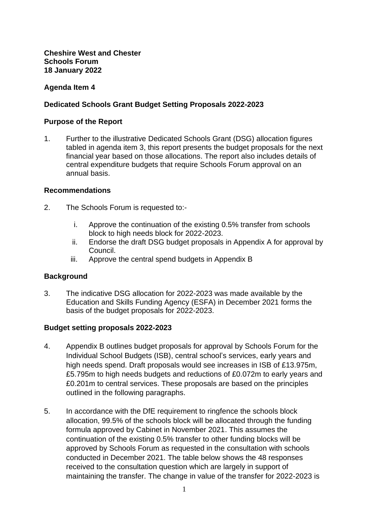## **Cheshire West and Chester Schools Forum 18 January 2022**

# **Agenda Item 4**

# **Dedicated Schools Grant Budget Setting Proposals 2022-2023**

## **Purpose of the Report**

1. Further to the illustrative Dedicated Schools Grant (DSG) allocation figures tabled in agenda item 3, this report presents the budget proposals for the next financial year based on those allocations. The report also includes details of central expenditure budgets that require Schools Forum approval on an annual basis.

## **Recommendations**

- 2. The Schools Forum is requested to:
	- i. Approve the continuation of the existing 0.5% transfer from schools block to high needs block for 2022-2023.
	- ii. Endorse the draft DSG budget proposals in Appendix A for approval by Council.
	- iii. Approve the central spend budgets in Appendix B

# **Background**

3. The indicative DSG allocation for 2022-2023 was made available by the Education and Skills Funding Agency (ESFA) in December 2021 forms the basis of the budget proposals for 2022-2023.

## **Budget setting proposals 2022-2023**

- 4. Appendix B outlines budget proposals for approval by Schools Forum for the Individual School Budgets (ISB), central school's services, early years and high needs spend. Draft proposals would see increases in ISB of £13.975m, £5.795m to high needs budgets and reductions of £0.072m to early years and £0.201m to central services. These proposals are based on the principles outlined in the following paragraphs.
- 5. In accordance with the DfE requirement to ringfence the schools block allocation, 99.5% of the schools block will be allocated through the funding formula approved by Cabinet in November 2021. This assumes the continuation of the existing 0.5% transfer to other funding blocks will be approved by Schools Forum as requested in the consultation with schools conducted in December 2021. The table below shows the 48 responses received to the consultation question which are largely in support of maintaining the transfer. The change in value of the transfer for 2022-2023 is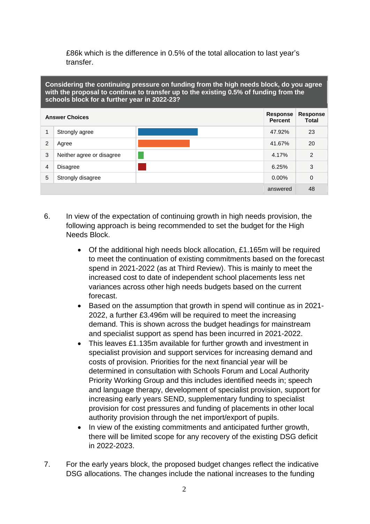£86k which is the difference in 0.5% of the total allocation to last year's transfer.

**Considering the continuing pressure on funding from the high needs block, do you agree with the proposal to continue to transfer up to the existing 0.5% of funding from the schools block for a further year in 2022-23?** 

| <b>Answer Choices</b> |                           |  |          | Response<br><b>Total</b> |
|-----------------------|---------------------------|--|----------|--------------------------|
|                       | Strongly agree            |  | 47.92%   | 23                       |
| 2                     | Agree                     |  | 41.67%   | 20                       |
| 3                     | Neither agree or disagree |  | 4.17%    | 2                        |
| $\overline{4}$        | <b>Disagree</b>           |  | 6.25%    | 3                        |
| 5                     | Strongly disagree         |  | $0.00\%$ | 0                        |
|                       |                           |  | answered | 48                       |

- 6. In view of the expectation of continuing growth in high needs provision, the following approach is being recommended to set the budget for the High Needs Block.
	- Of the additional high needs block allocation, £1.165m will be required to meet the continuation of existing commitments based on the forecast spend in 2021-2022 (as at Third Review). This is mainly to meet the increased cost to date of independent school placements less net variances across other high needs budgets based on the current forecast.
	- Based on the assumption that growth in spend will continue as in 2021- 2022, a further £3.496m will be required to meet the increasing demand. This is shown across the budget headings for mainstream and specialist support as spend has been incurred in 2021-2022.
	- This leaves £1.135m available for further growth and investment in specialist provision and support services for increasing demand and costs of provision. Priorities for the next financial year will be determined in consultation with Schools Forum and Local Authority Priority Working Group and this includes identified needs in; speech and language therapy, development of specialist provision, support for increasing early years SEND, supplementary funding to specialist provision for cost pressures and funding of placements in other local authority provision through the net import/export of pupils.
	- In view of the existing commitments and anticipated further growth, there will be limited scope for any recovery of the existing DSG deficit in 2022-2023.
- 7. For the early years block, the proposed budget changes reflect the indicative DSG allocations. The changes include the national increases to the funding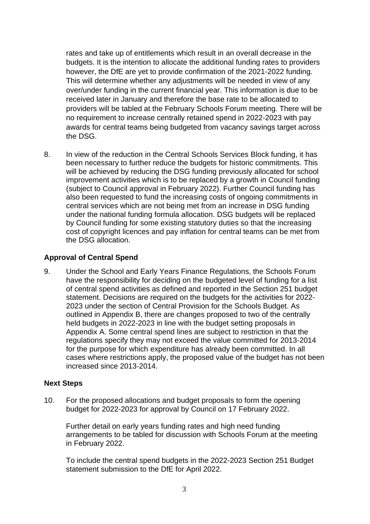rates and take up of entitlements which result in an overall decrease in the budgets. It is the intention to allocate the additional funding rates to providers however, the DfE are yet to provide confirmation of the 2021-2022 funding. This will determine whether any adjustments will be needed in view of any over/under funding in the current financial year. This information is due to be received later in January and therefore the base rate to be allocated to providers will be tabled at the February Schools Forum meeting. There will be no requirement to increase centrally retained spend in 2022-2023 with pay awards for central teams being budgeted from vacancy savings target across the DSG.

8. In view of the reduction in the Central Schools Services Block funding, it has been necessary to further reduce the budgets for historic commitments. This will be achieved by reducing the DSG funding previously allocated for school improvement activities which is to be replaced by a growth in Council funding (subject to Council approval in February 2022). Further Council funding has also been requested to fund the increasing costs of ongoing commitments in central services which are not being met from an increase in DSG funding under the national funding formula allocation. DSG budgets will be replaced by Council funding for some existing statutory duties so that the increasing cost of copyright licences and pay inflation for central teams can be met from the DSG allocation.

# **Approval of Central Spend**

9. Under the School and Early Years Finance Regulations, the Schools Forum have the responsibility for deciding on the budgeted level of funding for a list of central spend activities as defined and reported in the Section 251 budget statement. Decisions are required on the budgets for the activities for 2022- 2023 under the section of Central Provision for the Schools Budget. As outlined in Appendix B, there are changes proposed to two of the centrally held budgets in 2022-2023 in line with the budget setting proposals in Appendix A. Some central spend lines are subject to restriction in that the regulations specify they may not exceed the value committed for 2013-2014 for the purpose for which expenditure has already been committed. In all cases where restrictions apply, the proposed value of the budget has not been increased since 2013-2014.

## **Next Steps**

10. For the proposed allocations and budget proposals to form the opening budget for 2022-2023 for approval by Council on 17 February 2022.

Further detail on early years funding rates and high need funding arrangements to be tabled for discussion with Schools Forum at the meeting in February 2022.

To include the central spend budgets in the 2022-2023 Section 251 Budget statement submission to the DfE for April 2022.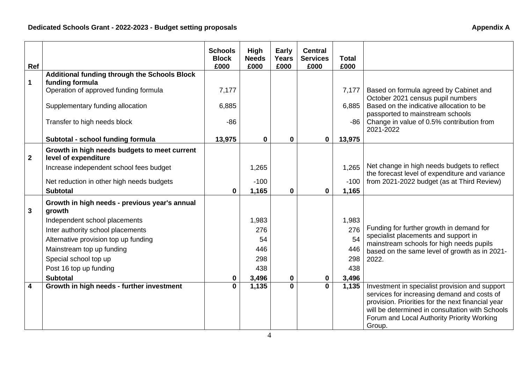| Ref         |                                                                      | <b>Schools</b><br><b>Block</b><br>£000 | High<br><b>Needs</b><br>£000 | <b>Early</b><br><b>Years</b><br>£000 | <b>Central</b><br><b>Services</b><br>£000 | <b>Total</b><br>£000 |                                                                                                      |
|-------------|----------------------------------------------------------------------|----------------------------------------|------------------------------|--------------------------------------|-------------------------------------------|----------------------|------------------------------------------------------------------------------------------------------|
|             | <b>Additional funding through the Schools Block</b>                  |                                        |                              |                                      |                                           |                      |                                                                                                      |
| $\mathbf 1$ | funding formula                                                      |                                        |                              |                                      |                                           |                      |                                                                                                      |
|             | Operation of approved funding formula                                | 7,177                                  |                              |                                      |                                           | 7,177                | Based on formula agreed by Cabinet and                                                               |
|             | Supplementary funding allocation                                     | 6,885                                  |                              |                                      |                                           | 6,885                | October 2021 census pupil numbers<br>Based on the indicative allocation to be                        |
|             |                                                                      |                                        |                              |                                      |                                           |                      | passported to mainstream schools                                                                     |
|             | Transfer to high needs block                                         | $-86$                                  |                              |                                      |                                           | -86                  | Change in value of 0.5% contribution from<br>2021-2022                                               |
|             | Subtotal - school funding formula                                    | 13,975                                 | $\mathbf 0$                  | $\mathbf 0$                          | $\mathbf 0$                               | 13,975               |                                                                                                      |
| $\mathbf 2$ | Growth in high needs budgets to meet current<br>level of expenditure |                                        |                              |                                      |                                           |                      |                                                                                                      |
|             | Increase independent school fees budget                              |                                        | 1,265                        |                                      |                                           | 1,265                | Net change in high needs budgets to reflect                                                          |
|             |                                                                      |                                        | $-100$                       |                                      |                                           | $-100$               | the forecast level of expenditure and variance<br>from 2021-2022 budget (as at Third Review)         |
|             | Net reduction in other high needs budgets                            |                                        |                              |                                      |                                           |                      |                                                                                                      |
|             | <b>Subtotal</b>                                                      | $\mathbf{0}$                           | 1,165                        | $\bf{0}$                             | $\mathbf 0$                               | 1,165                |                                                                                                      |
| 3           | Growth in high needs - previous year's annual<br>growth              |                                        |                              |                                      |                                           |                      |                                                                                                      |
|             | Independent school placements                                        |                                        | 1,983                        |                                      |                                           | 1,983                |                                                                                                      |
|             | Inter authority school placements                                    |                                        | 276                          |                                      |                                           | 276                  | Funding for further growth in demand for                                                             |
|             | Alternative provision top up funding                                 |                                        | 54                           |                                      |                                           | 54                   | specialist placements and support in<br>mainstream schools for high needs pupils                     |
|             | Mainstream top up funding                                            |                                        | 446                          |                                      |                                           | 446                  | based on the same level of growth as in 2021-                                                        |
|             | Special school top up                                                |                                        | 298                          |                                      |                                           | 298                  | 2022.                                                                                                |
|             | Post 16 top up funding                                               |                                        | 438                          |                                      |                                           | 438                  |                                                                                                      |
|             | <b>Subtotal</b>                                                      | 0                                      | 3,496                        | $\mathbf 0$                          | 0                                         | 3,496                |                                                                                                      |
| 4           | Growth in high needs - further investment                            | $\mathbf{0}$                           | 1,135                        | $\bf{0}$                             | $\mathbf 0$                               | 1,135                | Investment in specialist provision and support                                                       |
|             |                                                                      |                                        |                              |                                      |                                           |                      | services for increasing demand and costs of                                                          |
|             |                                                                      |                                        |                              |                                      |                                           |                      | provision. Priorities for the next financial year<br>will be determined in consultation with Schools |
|             |                                                                      |                                        |                              |                                      |                                           |                      | Forum and Local Authority Priority Working                                                           |
|             |                                                                      |                                        |                              |                                      |                                           |                      | Group.                                                                                               |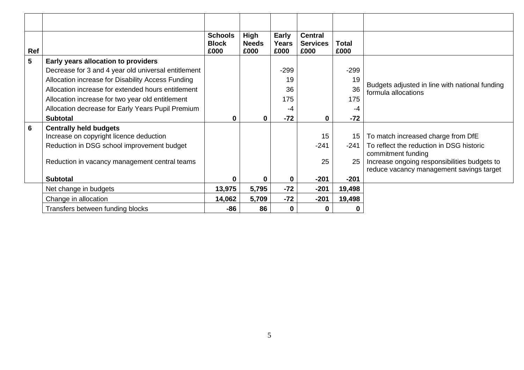| Ref            |                                                                          | <b>Schools</b><br><b>Block</b><br>£000 | High<br><b>Needs</b><br>£000 | Early<br><b>Years</b><br>£000 | <b>Central</b><br><b>Services</b><br>£000 | <b>Total</b><br>£000 |                                                                                          |
|----------------|--------------------------------------------------------------------------|----------------------------------------|------------------------------|-------------------------------|-------------------------------------------|----------------------|------------------------------------------------------------------------------------------|
| 5              | Early years allocation to providers                                      |                                        |                              |                               |                                           |                      |                                                                                          |
|                | Decrease for 3 and 4 year old universal entitlement                      |                                        |                              | $-299$                        |                                           | $-299$               |                                                                                          |
|                | Allocation increase for Disability Access Funding                        |                                        |                              | 19                            |                                           | 19                   |                                                                                          |
|                | Allocation increase for extended hours entitlement                       |                                        |                              | 36                            |                                           | 36                   | Budgets adjusted in line with national funding<br>formula allocations                    |
|                | Allocation increase for two year old entitlement                         |                                        |                              | 175                           |                                           | 175                  |                                                                                          |
|                | Allocation decrease for Early Years Pupil Premium                        |                                        |                              | -4                            |                                           | -4                   |                                                                                          |
|                | <b>Subtotal</b>                                                          | 0                                      | $\bf{0}$                     | $-72$                         | 0                                         | $-72$                |                                                                                          |
| $6\phantom{1}$ | <b>Centrally held budgets</b><br>Increase on copyright licence deduction |                                        |                              |                               | 15                                        | 15                   | To match increased charge from DfE                                                       |
|                | Reduction in DSG school improvement budget                               |                                        |                              |                               | $-241$                                    | $-241$               | To reflect the reduction in DSG historic<br>commitment funding                           |
|                | Reduction in vacancy management central teams                            |                                        |                              |                               | 25                                        | 25                   | Increase ongoing responsibilities budgets to<br>reduce vacancy management savings target |
|                | <b>Subtotal</b>                                                          | 0                                      | 0                            | 0                             | $-201$                                    | $-201$               |                                                                                          |
|                | Net change in budgets                                                    | 13,975                                 | 5,795                        | $-72$                         | $-201$                                    | 19,498               |                                                                                          |
|                | Change in allocation                                                     | 14,062                                 | 5,709                        | $-72$                         | $-201$                                    | 19,498               |                                                                                          |
|                | Transfers between funding blocks                                         | -86                                    | 86                           | $\Omega$                      | 0                                         |                      |                                                                                          |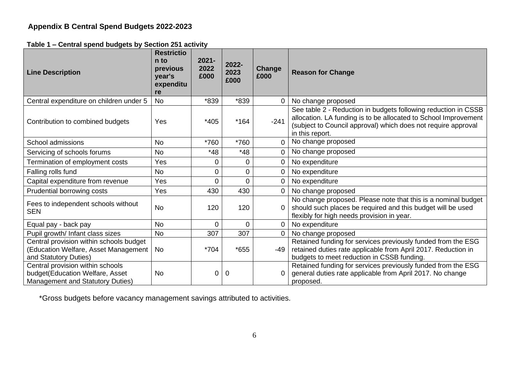**Table 1 – Central spend budgets by Section 251 activity**

| $\frac{1}{2}$<br><b>Line Description</b>                                                                 | <b>Restrictio</b><br>n to<br>previous<br>year's<br>expenditu<br>re | $2021 -$<br>2022<br>£000 | 2022-<br>2023<br>£000 | Change<br>£000 | <b>Reason for Change</b>                                                                                                                                                                                              |
|----------------------------------------------------------------------------------------------------------|--------------------------------------------------------------------|--------------------------|-----------------------|----------------|-----------------------------------------------------------------------------------------------------------------------------------------------------------------------------------------------------------------------|
| Central expenditure on children under 5                                                                  | <b>No</b>                                                          | *839                     | *839                  |                | No change proposed                                                                                                                                                                                                    |
| Contribution to combined budgets                                                                         | Yes                                                                | *405                     | $*164$                | $-241$         | See table 2 - Reduction in budgets following reduction in CSSB<br>allocation. LA funding is to be allocated to School Improvement<br>(subject to Council approval) which does not require approval<br>in this report. |
| School admissions                                                                                        | <b>No</b>                                                          | *760                     | *760                  | $\overline{0}$ | No change proposed                                                                                                                                                                                                    |
| Servicing of schools forums                                                                              | <b>No</b>                                                          | $*48$                    | $*48$                 | $\Omega$       | No change proposed                                                                                                                                                                                                    |
| Termination of employment costs                                                                          | Yes                                                                | 0                        | 0                     | 0              | No expenditure                                                                                                                                                                                                        |
| Falling rolls fund                                                                                       | <b>No</b>                                                          | 0                        | 0                     |                | No expenditure                                                                                                                                                                                                        |
| Capital expenditure from revenue                                                                         | Yes                                                                | 0                        | 0                     | $\overline{0}$ | No expenditure                                                                                                                                                                                                        |
| Prudential borrowing costs                                                                               | Yes                                                                | 430                      | 430                   |                | No change proposed                                                                                                                                                                                                    |
| Fees to independent schools without<br><b>SEN</b>                                                        | <b>No</b>                                                          | 120                      | 120                   |                | No change proposed. Please note that this is a nominal budget<br>should such places be required and this budget will be used<br>flexibly for high needs provision in year.                                            |
| Equal pay - back pay                                                                                     | <b>No</b>                                                          | 0                        | 0                     | $\Omega$       | No expenditure                                                                                                                                                                                                        |
| Pupil growth/ Infant class sizes                                                                         | <b>No</b>                                                          | 307                      | 307                   | 0              | No change proposed                                                                                                                                                                                                    |
| Central provision within schools budget<br>(Education Welfare, Asset Management<br>and Statutory Duties) | <b>No</b>                                                          | *704                     | *655                  | $-49$          | Retained funding for services previously funded from the ESG<br>retained duties rate applicable from April 2017. Reduction in<br>budgets to meet reduction in CSSB funding.                                           |
| Central provision within schools<br>budget(Education Welfare, Asset<br>Management and Statutory Duties)  | No                                                                 | 0                        | $\overline{0}$        |                | Retained funding for services previously funded from the ESG<br>general duties rate applicable from April 2017. No change<br>proposed.                                                                                |

\*Gross budgets before vacancy management savings attributed to activities.